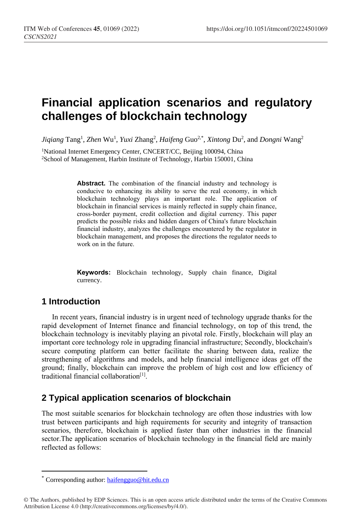# **Financial application scenarios and regulatory challenges of blockchain technology**

Jiqiang Tang<sup>1</sup>, *Zhen* Wu<sup>1</sup>, *Yuxi Zhang<sup>2</sup>, Haifeng Guo<sup>2,\*</sup>, <i>Xintong Du<sup>2</sup>, and Dongni* Wang<sup>2</sup>

<sup>1</sup>National Internet Emergency Center, CNCERT/CC, Beijing 100094, China <sup>2</sup>School of Management, Harbin Institute of Technology, Harbin 150001, China

> **Abstract.** The combination of the financial industry and technology is conducive to enhancing its ability to serve the real economy, in which blockchain technology plays an important role. The application of blockchain in financial services is mainly reflected in supply chain finance, cross-border payment, credit collection and digital currency. This paper predicts the possible risks and hidden dangers of China's future blockchain financial industry, analyzes the challenges encountered by the regulator in blockchain management, and proposes the directions the regulator needs to work on in the future.

> **Keywords:** Blockchain technology, Supply chain finance, Digital currency.

### **1 Introduction**

 $\overline{a}$ 

In recent years, financial industry is in urgent need of technology upgrade thanks for the rapid development of Internet finance and financial technology, on top of this trend, the blockchain technology is inevitably playing an pivotal role. Firstly, blockchain will play an important core technology role in upgrading financial infrastructure; Secondly, blockchain's secure computing platform can better facilitate the sharing between data, realize the strengthening of algorithms and models, and help financial intelligence ideas get off the ground; finally, blockchain can improve the problem of high cost and low efficiency of traditional financial collaboration<sup>[1]</sup>.

## **2 Typical application scenarios of blockchain**

The most suitable scenarios for blockchain technology are often those industries with low trust between participants and high requirements for security and integrity of transaction scenarios, therefore, blockchain is applied faster than other industries in the financial sector.The application scenarios of blockchain technology in the financial field are mainly reflected as follows:

Corresponding author: [haifengguo@hit.edu.cn](mailto:haifengguo@hit.edu.cn)

<sup>©</sup> The Authors, published by EDP Sciences. This is an open access article distributed under the terms of the Creative Commons Attribution License 4.0 (http://creativecommons.org/licenses/by/4.0/).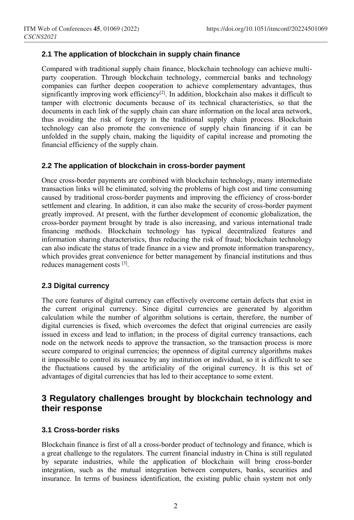### **2.1 The application of blockchain in supply chain finance**

Compared with traditional supply chain finance, blockchain technology can achieve multiparty cooperation. Through blockchain technology, commercial banks and technology companies can further deepen cooperation to achieve complementary advantages, thus significantly improving work efficiency<sup>[2]</sup>. In addition, blockchain also makes it difficult to tamper with electronic documents because of its technical characteristics, so that the documents in each link of the supply chain can share information on the local area network, thus avoiding the risk of forgery in the traditional supply chain process. Blockchain technology can also promote the convenience of supply chain financing if it can be unfolded in the supply chain, making the liquidity of capital increase and promoting the financial efficiency of the supply chain.

#### **2.2 The application of blockchain in cross-border payment**

Once cross-border payments are combined with blockchain technology, many intermediate transaction links will be eliminated, solving the problems of high cost and time consuming caused by traditional cross-border payments and improving the efficiency of cross-border settlement and clearing. In addition, it can also make the security of cross-border payment greatly improved. At present, with the further development of economic globalization, the cross-border payment brought by trade is also increasing, and various international trade financing methods. Blockchain technology has typical decentralized features and information sharing characteristics, thus reducing the risk of fraud; blockchain technology can also indicate the status of trade finance in a view and promote information transparency, which provides great convenience for better management by financial institutions and thus reduces management costs<sup>[3]</sup>.

#### **2.3 Digital currency**

The core features of digital currency can effectively overcome certain defects that exist in the current original currency. Since digital currencies are generated by algorithm calculation while the number of algorithm solutions is certain, therefore, the number of digital currencies is fixed, which overcomes the defect that original currencies are easily issued in excess and lead to inflation; in the process of digital currency transactions, each node on the network needs to approve the transaction, so the transaction process is more secure compared to original currencies; the openness of digital currency algorithms makes it impossible to control its issuance by any institution or individual, so it is difficult to see the fluctuations caused by the artificiality of the original currency. It is this set of advantages of digital currencies that has led to their acceptance to some extent.

### **3 Regulatory challenges brought by blockchain technology and their response**

#### **3.1 Cross-border risks**

Blockchain finance is first of all a cross-border product of technology and finance, which is a great challenge to the regulators. The current financial industry in China is still regulated by separate industries, while the application of blockchain will bring cross-border integration, such as the mutual integration between computers, banks, securities and insurance. In terms of business identification, the existing public chain system not only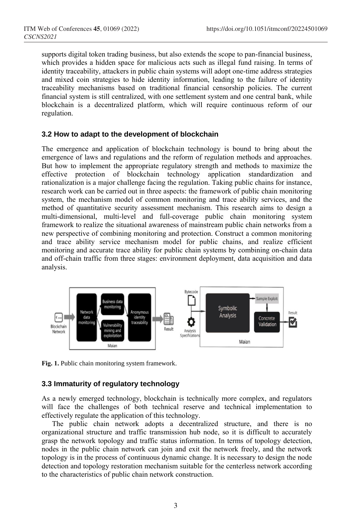supports digital token trading business, but also extends the scope to pan-financial business, which provides a hidden space for malicious acts such as illegal fund raising. In terms of identity traceability, attackers in public chain systems will adopt one-time address strategies and mixed coin strategies to hide identity information, leading to the failure of identity traceability mechanisms based on traditional financial censorship policies. The current financial system is still centralized, with one settlement system and one central bank, while blockchain is a decentralized platform, which will require continuous reform of our regulation.

#### **3.2 How to adapt to the development of blockchain**

The emergence and application of blockchain technology is bound to bring about the emergence of laws and regulations and the reform of regulation methods and approaches. But how to implement the appropriate regulatory strength and methods to maximize the effective protection of blockchain technology application standardization and rationalization is a major challenge facing the regulation. Taking public chains for instance, research work can be carried out in three aspects: the framework of public chain monitoring system, the mechanism model of common monitoring and trace ability services, and the method of quantitative security assessment mechanism. This research aims to design a multi-dimensional, multi-level and full-coverage public chain monitoring system framework to realize the situational awareness of mainstream public chain networks from a new perspective of combining monitoring and protection. Construct a common monitoring and trace ability service mechanism model for public chains, and realize efficient monitoring and accurate trace ability for public chain systems by combining on-chain data and off-chain traffic from three stages: environment deployment, data acquisition and data analysis.



**Fig. 1.** Public chain monitoring system framework.

### **3.3 Immaturity of regulatory technology**

As a newly emerged technology, blockchain is technically more complex, and regulators will face the challenges of both technical reserve and technical implementation to effectively regulate the application of this technology.

The public chain network adopts a decentralized structure, and there is no organizational structure and traffic transmission hub node, so it is difficult to accurately grasp the network topology and traffic status information. In terms of topology detection, nodes in the public chain network can join and exit the network freely, and the network topology is in the process of continuous dynamic change. It is necessary to design the node detection and topology restoration mechanism suitable for the centerless network according to the characteristics of public chain network construction.